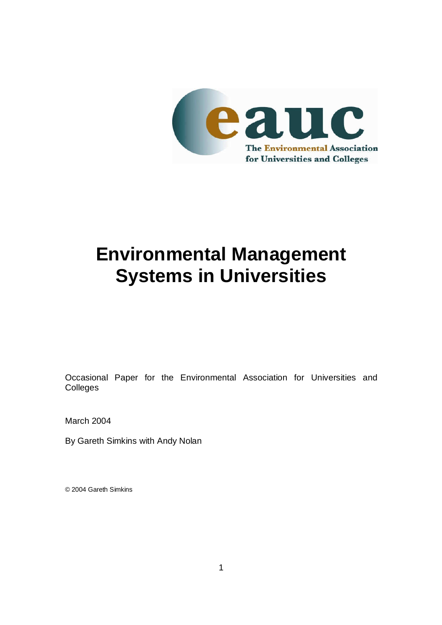

# **Environmental Management Systems in Universities**

Occasional Paper for the Environmental Association for Universities and Colleges

March 2004

By Gareth Simkins with Andy Nolan

© 2004 Gareth Simkins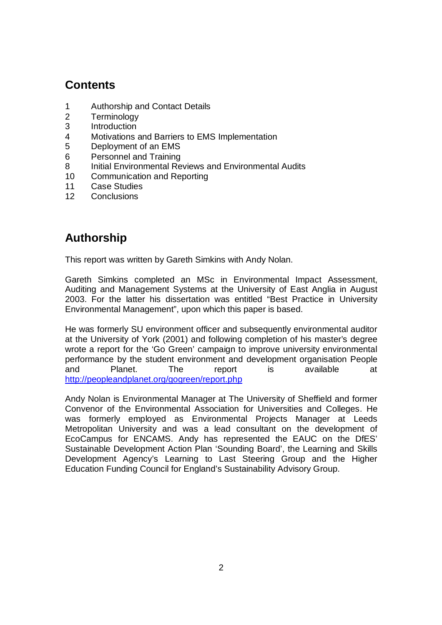## **Contents**

- 1 Authorship and Contact Details
- 2 Terminology
- 3 Introduction
- 4 Motivations and Barriers to EMS Implementation
- 5 Deployment of an EMS
- 6 Personnel and Training
- 8 Initial Environmental Reviews and Environmental Audits
- 10 Communication and Reporting
- 11 Case Studies
- 12 Conclusions

## **Authorship**

This report was written by Gareth Simkins with Andy Nolan.

Gareth Simkins completed an MSc in Environmental Impact Assessment, Auditing and Management Systems at the University of East Anglia in August 2003. For the latter his dissertation was entitled "Best Practice in University Environmental Management", upon which this paper is based.

He was formerly SU environment officer and subsequently environmental auditor at the University of York (2001) and following completion of his master's degree wrote a report for the 'Go Green' campaign to improve university environmental performance by the student environment and development organisation People and Planet. The report is available at http://peopleandplanet.org/gogreen/report.php

Andy Nolan is Environmental Manager at The University of Sheffield and former Convenor of the Environmental Association for Universities and Colleges. He was formerly employed as Environmental Projects Manager at Leeds Metropolitan University and was a lead consultant on the development of EcoCampus for ENCAMS. Andy has represented the EAUC on the DfES' Sustainable Development Action Plan 'Sounding Board', the Learning and Skills Development Agency's Learning to Last Steering Group and the Higher Education Funding Council for England's Sustainability Advisory Group.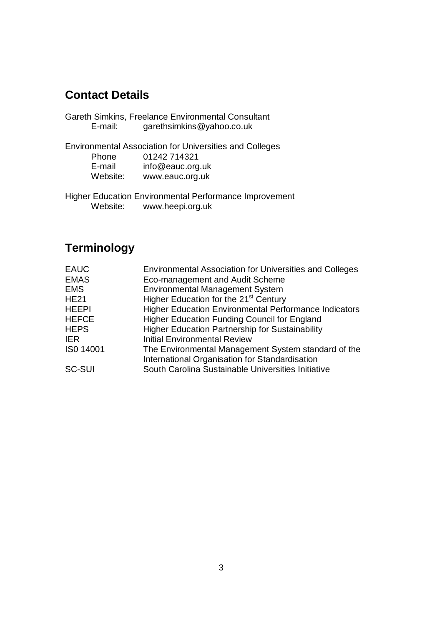### **Contact Details**

| E-mail: | Gareth Simkins, Freelance Environmental Consultant<br>garethsimkins@yahoo.co.uk |
|---------|---------------------------------------------------------------------------------|
| Phone   | <b>Environmental Association for Universities and Colleges</b><br>01242 714321  |

| <u>FIJULIT</u> | <u>UIZ42 1 1402 1</u> |  |
|----------------|-----------------------|--|
| E-mail         | info@eauc.org.uk      |  |
| Website:       | www.eauc.org.uk       |  |

Higher Education Environmental Performance Improvement Website: www.heepi.org.uk

## **Terminology**

| <b>Environmental Association for Universities and Colleges</b> |
|----------------------------------------------------------------|
| Eco-management and Audit Scheme                                |
| <b>Environmental Management System</b>                         |
| Higher Education for the 21 <sup>st</sup> Century              |
| <b>Higher Education Environmental Performance Indicators</b>   |
| <b>Higher Education Funding Council for England</b>            |
| <b>Higher Education Partnership for Sustainability</b>         |
| <b>Initial Environmental Review</b>                            |
| The Environmental Management System standard of the            |
| International Organisation for Standardisation                 |
| South Carolina Sustainable Universities Initiative             |
|                                                                |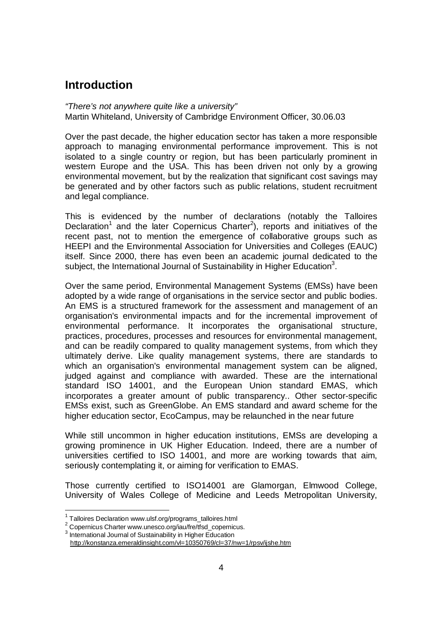#### **Introduction**

"There's not anywhere quite like a university" Martin Whiteland, University of Cambridge Environment Officer, 30.06.03

Over the past decade, the higher education sector has taken a more responsible approach to managing environmental performance improvement. This is not isolated to a single country or region, but has been particularly prominent in western Europe and the USA. This has been driven not only by a growing environmental movement, but by the realization that significant cost savings may be generated and by other factors such as public relations, student recruitment and legal compliance.

This is evidenced by the number of declarations (notably the Talloires Declaration<sup>1</sup> and the later Copernicus Charter<sup>2</sup>), reports and initiatives of the recent past, not to mention the emergence of collaborative groups such as HEEPI and the Environmental Association for Universities and Colleges (EAUC) itself. Since 2000, there has even been an academic journal dedicated to the subject, the International Journal of Sustainability in Higher Education<sup>3</sup>.

Over the same period, Environmental Management Systems (EMSs) have been adopted by a wide range of organisations in the service sector and public bodies. An EMS is a structured framework for the assessment and management of an organisation's environmental impacts and for the incremental improvement of environmental performance. It incorporates the organisational structure, practices, procedures, processes and resources for environmental management, and can be readily compared to quality management systems, from which they ultimately derive. Like quality management systems, there are standards to which an organisation's environmental management system can be aligned, judged against and compliance with awarded. These are the international standard ISO 14001, and the European Union standard EMAS, which incorporates a greater amount of public transparency.. Other sector-specific EMSs exist, such as GreenGlobe. An EMS standard and award scheme for the higher education sector, EcoCampus, may be relaunched in the near future

While still uncommon in higher education institutions, EMSs are developing a growing prominence in UK Higher Education. Indeed, there are a number of universities certified to ISO 14001, and more are working towards that aim, seriously contemplating it, or aiming for verification to EMAS.

Those currently certified to ISO14001 are Glamorgan, Elmwood College, University of Wales College of Medicine and Leeds Metropolitan University,

-

 $3$  International Journal of Sustainability in Higher Education

<sup>&</sup>lt;sup>1</sup> Talloires Declaration www.ulsf.org/programs\_talloires.html

<sup>&</sup>lt;sup>2</sup> Copernicus Charter www.unesco.org/iau/fre/tfsd\_copernicus.

http://konstanza.emeraldinsight.com/vl=10350769/cl=37/nw=1/rpsv/ijshe.htm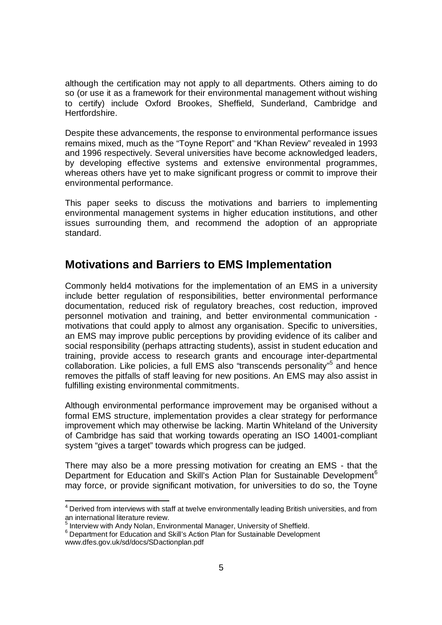although the certification may not apply to all departments. Others aiming to do so (or use it as a framework for their environmental management without wishing to certify) include Oxford Brookes, Sheffield, Sunderland, Cambridge and Hertfordshire.

Despite these advancements, the response to environmental performance issues remains mixed, much as the "Toyne Report" and "Khan Review" revealed in 1993 and 1996 respectively. Several universities have become acknowledged leaders, by developing effective systems and extensive environmental programmes, whereas others have yet to make significant progress or commit to improve their environmental performance.

This paper seeks to discuss the motivations and barriers to implementing environmental management systems in higher education institutions, and other issues surrounding them, and recommend the adoption of an appropriate standard.

#### **Motivations and Barriers to EMS Implementation**

Commonly held4 motivations for the implementation of an EMS in a university include better regulation of responsibilities, better environmental performance documentation, reduced risk of regulatory breaches, cost reduction, improved personnel motivation and training, and better environmental communication motivations that could apply to almost any organisation. Specific to universities, an EMS may improve public perceptions by providing evidence of its caliber and social responsibility (perhaps attracting students), assist in student education and training, provide access to research grants and encourage inter-departmental collaboration. Like policies, a full EMS also "transcends personality"<sup>5</sup> and hence removes the pitfalls of staff leaving for new positions. An EMS may also assist in fulfilling existing environmental commitments.

Although environmental performance improvement may be organised without a formal EMS structure, implementation provides a clear strategy for performance improvement which may otherwise be lacking. Martin Whiteland of the University of Cambridge has said that working towards operating an ISO 14001-compliant system "gives a target" towards which progress can be judged.

There may also be a more pressing motivation for creating an EMS - that the Department for Education and Skill's Action Plan for Sustainable Development<sup>6</sup> may force, or provide significant motivation, for universities to do so, the Toyne

 4 Derived from interviews with staff at twelve environmentally leading British universities, and from an international literature review.

<sup>&</sup>lt;sup>5</sup> Interview with Andy Nolan, Environmental Manager, University of Sheffield.

<sup>&</sup>lt;sup>6</sup> Department for Education and Skill's Action Plan for Sustainable Development www.dfes.gov.uk/sd/docs/SDactionplan.pdf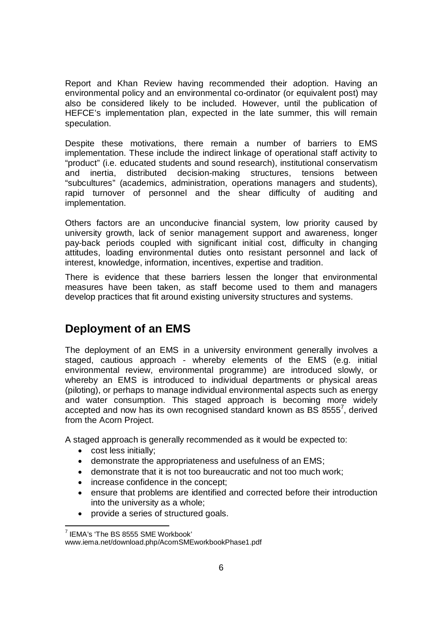Report and Khan Review having recommended their adoption. Having an environmental policy and an environmental co-ordinator (or equivalent post) may also be considered likely to be included. However, until the publication of HEFCE's implementation plan, expected in the late summer, this will remain speculation.

Despite these motivations, there remain a number of barriers to EMS implementation. These include the indirect linkage of operational staff activity to "product" (i.e. educated students and sound research), institutional conservatism and inertia, distributed decision-making structures, tensions between "subcultures" (academics, administration, operations managers and students), rapid turnover of personnel and the shear difficulty of auditing and implementation.

Others factors are an unconducive financial system, low priority caused by university growth, lack of senior management support and awareness, longer pay-back periods coupled with significant initial cost, difficulty in changing attitudes, loading environmental duties onto resistant personnel and lack of interest, knowledge, information, incentives, expertise and tradition.

There is evidence that these barriers lessen the longer that environmental measures have been taken, as staff become used to them and managers develop practices that fit around existing university structures and systems.

#### **Deployment of an EMS**

The deployment of an EMS in a university environment generally involves a staged, cautious approach - whereby elements of the EMS (e.g. initial environmental review, environmental programme) are introduced slowly, or whereby an EMS is introduced to individual departments or physical areas (piloting), or perhaps to manage individual environmental aspects such as energy and water consumption. This staged approach is becoming more widely accepted and now has its own recognised standard known as  $BS$  8555 $^7$ , derived from the Acorn Project.

A staged approach is generally recommended as it would be expected to:

- cost less initially;
- demonstrate the appropriateness and usefulness of an EMS;
- demonstrate that it is not too bureaucratic and not too much work;
- increase confidence in the concept;
- ensure that problems are identified and corrected before their introduction into the university as a whole;
- provide a series of structured goals.

<sup>-</sup> $7$  IEMA's 'The BS 8555 SME Workbook'

www.iema.net/download.php/AcornSMEworkbookPhase1.pdf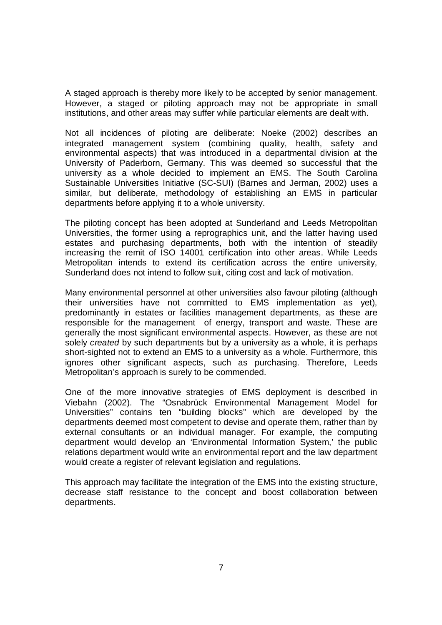A staged approach is thereby more likely to be accepted by senior management. However, a staged or piloting approach may not be appropriate in small institutions, and other areas may suffer while particular elements are dealt with.

Not all incidences of piloting are deliberate: Noeke (2002) describes an integrated management system (combining quality, health, safety and environmental aspects) that was introduced in a departmental division at the University of Paderborn, Germany. This was deemed so successful that the university as a whole decided to implement an EMS. The South Carolina Sustainable Universities Initiative (SC-SUI) (Barnes and Jerman, 2002) uses a similar, but deliberate, methodology of establishing an EMS in particular departments before applying it to a whole university.

The piloting concept has been adopted at Sunderland and Leeds Metropolitan Universities, the former using a reprographics unit, and the latter having used estates and purchasing departments, both with the intention of steadily increasing the remit of ISO 14001 certification into other areas. While Leeds Metropolitan intends to extend its certification across the entire university, Sunderland does not intend to follow suit, citing cost and lack of motivation.

Many environmental personnel at other universities also favour piloting (although their universities have not committed to EMS implementation as yet), predominantly in estates or facilities management departments, as these are responsible for the management of energy, transport and waste. These are generally the most significant environmental aspects. However, as these are not solely *created* by such departments but by a university as a whole, it is perhaps short-sighted not to extend an EMS to a university as a whole. Furthermore, this ignores other significant aspects, such as purchasing. Therefore, Leeds Metropolitan's approach is surely to be commended.

One of the more innovative strategies of EMS deployment is described in Viebahn (2002). The "Osnabrück Environmental Management Model for Universities" contains ten "building blocks" which are developed by the departments deemed most competent to devise and operate them, rather than by external consultants or an individual manager. For example, the computing department would develop an 'Environmental Information System,' the public relations department would write an environmental report and the law department would create a register of relevant legislation and regulations.

This approach may facilitate the integration of the EMS into the existing structure, decrease staff resistance to the concept and boost collaboration between departments.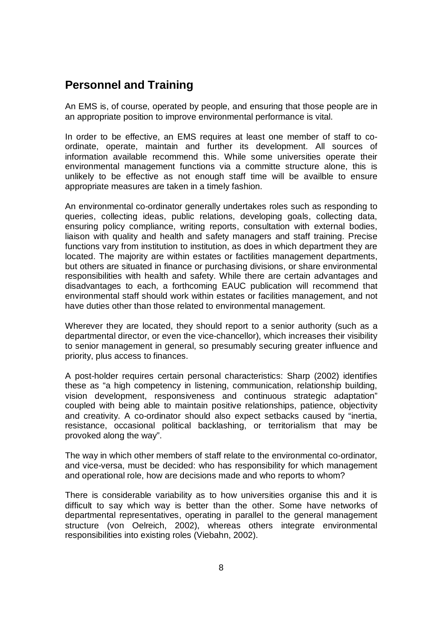#### **Personnel and Training**

An EMS is, of course, operated by people, and ensuring that those people are in an appropriate position to improve environmental performance is vital.

In order to be effective, an EMS requires at least one member of staff to coordinate, operate, maintain and further its development. All sources of information available recommend this. While some universities operate their environmental management functions via a committe structure alone, this is unlikely to be effective as not enough staff time will be availble to ensure appropriate measures are taken in a timely fashion.

An environmental co-ordinator generally undertakes roles such as responding to queries, collecting ideas, public relations, developing goals, collecting data, ensuring policy compliance, writing reports, consultation with external bodies, liaison with quality and health and safety managers and staff training. Precise functions vary from institution to institution, as does in which department they are located. The majority are within estates or factilities management departments, but others are situated in finance or purchasing divisions, or share environmental responsibilities with health and safety. While there are certain advantages and disadvantages to each, a forthcoming EAUC publication will recommend that environmental staff should work within estates or facilities management, and not have duties other than those related to environmental management.

Wherever they are located, they should report to a senior authority (such as a departmental director, or even the vice-chancellor), which increases their visibility to senior management in general, so presumably securing greater influence and priority, plus access to finances.

A post-holder requires certain personal characteristics: Sharp (2002) identifies these as "a high competency in listening, communication, relationship building, vision development, responsiveness and continuous strategic adaptation" coupled with being able to maintain positive relationships, patience, objectivity and creativity. A co-ordinator should also expect setbacks caused by "inertia, resistance, occasional political backlashing, or territorialism that may be provoked along the way".

The way in which other members of staff relate to the environmental co-ordinator, and vice-versa, must be decided: who has responsibility for which management and operational role, how are decisions made and who reports to whom?

There is considerable variability as to how universities organise this and it is difficult to say which way is better than the other. Some have networks of departmental representatives, operating in parallel to the general management structure (von Oelreich, 2002), whereas others integrate environmental responsibilities into existing roles (Viebahn, 2002).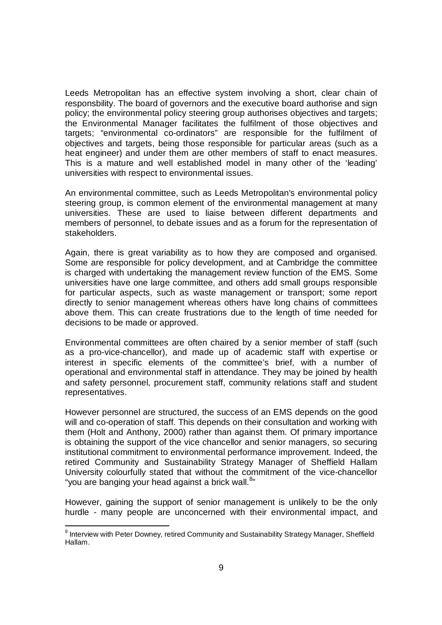Leeds Metropolitan has an effective system involving a short, clear chain of responsbility. The board of governors and the executive board authorise and sign policy; the environmental policy steering group authorises objectives and targets; the Environmental Manager facilitates the fulfilment of those objectives and targets; "environmental co-ordinators" are responsible for the fulfilment of objectives and targets, being those responsible for particular areas (such as a heat engineer) and under them are other members of staff to enact measures. This is a mature and well established model in many other of the 'leading' universities with respect to environmental issues.

An environmental committee, such as Leeds Metropolitan's environmental policy steering group, is common element of the environmental management at many universities. These are used to liaise between different departments and members of personnel, to debate issues and as a forum for the representation of stakeholders.

Again, there is great variability as to how they are composed and organised. Some are responsible for policy development, and at Cambridge the committee is charged with undertaking the management review function of the EMS. Some universities have one large committee, and others add small groups responsible for particular aspects, such as waste management or transport; some report directly to senior management whereas others have long chains of committees above them. This can create frustrations due to the length of time needed for decisions to be made or approved.

Environmental committees are often chaired by a senior member of staff (such as a pro-vice-chancellor), and made up of academic staff with expertise or interest in specific elements of the committee's brief, with a number of operational and environmental staff in attendance. They may be joined by health and safety personnel, procurement staff, community relations staff and student representatives.

However personnel are structured, the success of an EMS depends on the good will and co-operation of staff. This depends on their consultation and working with them (Holt and Anthony, 2000) rather than against them. Of primary importance is obtaining the support of the vice chancellor and senior managers, so securing institutional commitment to environmental performance improvement. Indeed, the retired Community and Sustainability Strategy Manager of Sheffield Hallam University colourfully stated that without the commitment of the vice-chancellor "you are banging your head against a brick wall.<sup>8</sup>"

However, gaining the support of senior management is unlikely to be the only hurdle - many people are unconcerned with their environmental impact, and

 8 Interview with Peter Downey, retired Community and Sustainability Strategy Manager, Sheffield Hallam.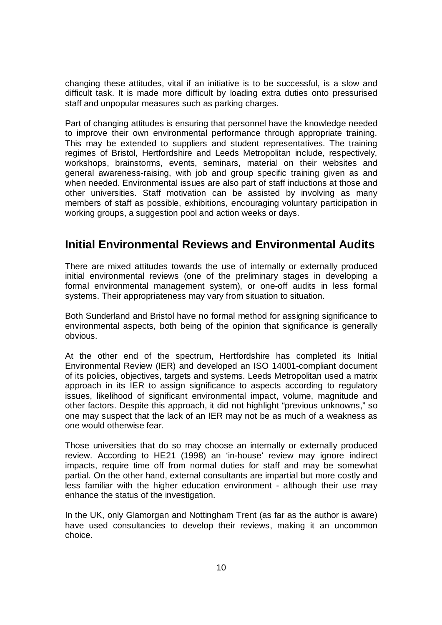changing these attitudes, vital if an initiative is to be successful, is a slow and difficult task. It is made more difficult by loading extra duties onto pressurised staff and unpopular measures such as parking charges.

Part of changing attitudes is ensuring that personnel have the knowledge needed to improve their own environmental performance through appropriate training. This may be extended to suppliers and student representatives. The training regimes of Bristol, Hertfordshire and Leeds Metropolitan include, respectively, workshops, brainstorms, events, seminars, material on their websites and general awareness-raising, with job and group specific training given as and when needed. Environmental issues are also part of staff inductions at those and other universities. Staff motivation can be assisted by involving as many members of staff as possible, exhibitions, encouraging voluntary participation in working groups, a suggestion pool and action weeks or days.

#### **Initial Environmental Reviews and Environmental Audits**

There are mixed attitudes towards the use of internally or externally produced initial environmental reviews (one of the preliminary stages in developing a formal environmental management system), or one-off audits in less formal systems. Their appropriateness may vary from situation to situation.

Both Sunderland and Bristol have no formal method for assigning significance to environmental aspects, both being of the opinion that significance is generally obvious.

At the other end of the spectrum, Hertfordshire has completed its Initial Environmental Review (IER) and developed an ISO 14001-compliant document of its policies, objectives, targets and systems. Leeds Metropolitan used a matrix approach in its IER to assign significance to aspects according to regulatory issues, likelihood of significant environmental impact, volume, magnitude and other factors. Despite this approach, it did not highlight "previous unknowns," so one may suspect that the lack of an IER may not be as much of a weakness as one would otherwise fear.

Those universities that do so may choose an internally or externally produced review. According to HE21 (1998) an 'in-house' review may ignore indirect impacts, require time off from normal duties for staff and may be somewhat partial. On the other hand, external consultants are impartial but more costly and less familiar with the higher education environment - although their use may enhance the status of the investigation.

In the UK, only Glamorgan and Nottingham Trent (as far as the author is aware) have used consultancies to develop their reviews, making it an uncommon choice.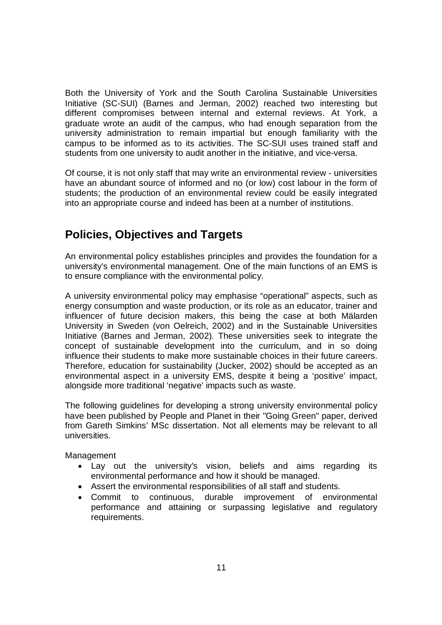Both the University of York and the South Carolina Sustainable Universities Initiative (SC-SUI) (Barnes and Jerman, 2002) reached two interesting but different compromises between internal and external reviews. At York, a graduate wrote an audit of the campus, who had enough separation from the university administration to remain impartial but enough familiarity with the campus to be informed as to its activities. The SC-SUI uses trained staff and students from one university to audit another in the initiative, and vice-versa.

Of course, it is not only staff that may write an environmental review - universities have an abundant source of informed and no (or low) cost labour in the form of students; the production of an environmental review could be easily integrated into an appropriate course and indeed has been at a number of institutions.

### **Policies, Objectives and Targets**

An environmental policy establishes principles and provides the foundation for a university's environmental management. One of the main functions of an EMS is to ensure compliance with the environmental policy.

A university environmental policy may emphasise "operational" aspects, such as energy consumption and waste production, or its role as an educator, trainer and influencer of future decision makers, this being the case at both Mälarden University in Sweden (von Oelreich, 2002) and in the Sustainable Universities Initiative (Barnes and Jerman, 2002). These universities seek to integrate the concept of sustainable development into the curriculum, and in so doing influence their students to make more sustainable choices in their future careers. Therefore, education for sustainability (Jucker, 2002) should be accepted as an environmental aspect in a university EMS, despite it being a 'positive' impact, alongside more traditional 'negative' impacts such as waste.

The following guidelines for developing a strong university environmental policy have been published by People and Planet in their "Going Green" paper, derived from Gareth Simkins' MSc dissertation. Not all elements may be relevant to all universities.

Management

- Lay out the university's vision, beliefs and aims regarding its environmental performance and how it should be managed.
- Assert the environmental responsibilities of all staff and students.
- Commit to continuous, durable improvement of environmental performance and attaining or surpassing legislative and regulatory requirements.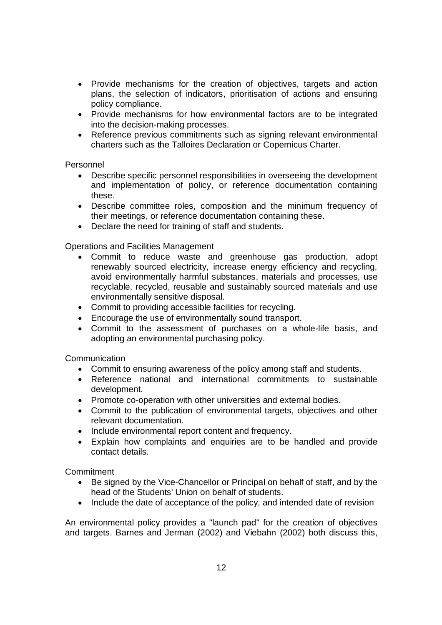- Provide mechanisms for the creation of objectives, targets and action plans, the selection of indicators, prioritisation of actions and ensuring policy compliance.
- Provide mechanisms for how environmental factors are to be integrated into the decision-making processes.
- Reference previous commitments such as signing relevant environmental charters such as the Talloires Declaration or Copernicus Charter.

#### Personnel

- Describe specific personnel responsibilities in overseeing the development and implementation of policy, or reference documentation containing these.
- Describe committee roles, composition and the minimum frequency of their meetings, or reference documentation containing these.
- Declare the need for training of staff and students.

Operations and Facilities Management

- Commit to reduce waste and greenhouse gas production, adopt renewably sourced electricity, increase energy efficiency and recycling, avoid environmentally harmful substances, materials and processes, use recyclable, recycled, reusable and sustainably sourced materials and use environmentally sensitive disposal.
- Commit to providing accessible facilities for recycling.
- Encourage the use of environmentally sound transport.
- Commit to the assessment of purchases on a whole-life basis, and adopting an environmental purchasing policy.

**Communication** 

- Commit to ensuring awareness of the policy among staff and students.
- Reference national and international commitments to sustainable development.
- Promote co-operation with other universities and external bodies.
- Commit to the publication of environmental targets, objectives and other relevant documentation.
- Include environmental report content and frequency.
- Explain how complaints and enquiries are to be handled and provide contact details.

**Commitment** 

- Be signed by the Vice-Chancellor or Principal on behalf of staff, and by the head of the Students' Union on behalf of students.
- Include the date of acceptance of the policy, and intended date of revision

An environmental policy provides a "launch pad" for the creation of objectives and targets. Barnes and Jerman (2002) and Viebahn (2002) both discuss this,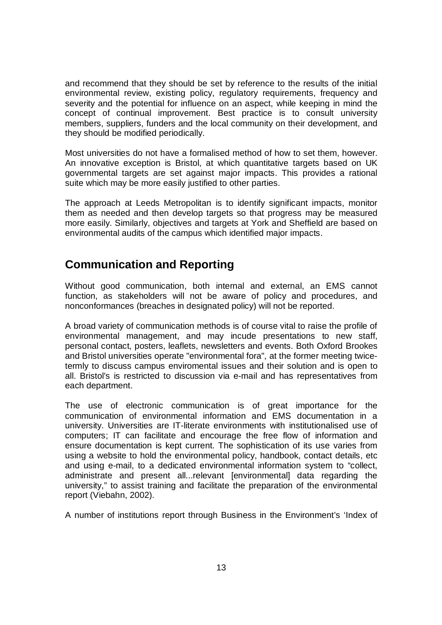and recommend that they should be set by reference to the results of the initial environmental review, existing policy, regulatory requirements, frequency and severity and the potential for influence on an aspect, while keeping in mind the concept of continual improvement. Best practice is to consult university members, suppliers, funders and the local community on their development, and they should be modified periodically.

Most universities do not have a formalised method of how to set them, however. An innovative exception is Bristol, at which quantitative targets based on UK governmental targets are set against major impacts. This provides a rational suite which may be more easily justified to other parties.

The approach at Leeds Metropolitan is to identify significant impacts, monitor them as needed and then develop targets so that progress may be measured more easily. Similarly, objectives and targets at York and Sheffield are based on environmental audits of the campus which identified major impacts.

### **Communication and Reporting**

Without good communication, both internal and external, an EMS cannot function, as stakeholders will not be aware of policy and procedures, and nonconformances (breaches in designated policy) will not be reported.

A broad variety of communication methods is of course vital to raise the profile of environmental management, and may incude presentations to new staff, personal contact, posters, leaflets, newsletters and events. Both Oxford Brookes and Bristol universities operate "environmental fora", at the former meeting twicetermly to discuss campus enviromental issues and their solution and is open to all. Bristol's is restricted to discussion via e-mail and has representatives from each department.

The use of electronic communication is of great importance for the communication of environmental information and EMS documentation in a university. Universities are IT-literate environments with institutionalised use of computers; IT can facilitate and encourage the free flow of information and ensure documentation is kept current. The sophistication of its use varies from using a website to hold the environmental policy, handbook, contact details, etc and using e-mail, to a dedicated environmental information system to "collect, administrate and present all...relevant [environmental] data regarding the university," to assist training and facilitate the preparation of the environmental report (Viebahn, 2002).

A number of institutions report through Business in the Environment's 'Index of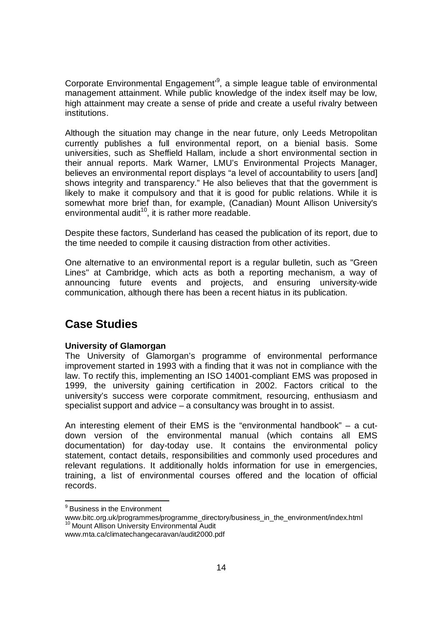Corporate Environmental Engagement<sup>,9</sup>, a simple league table of environmental management attainment. While public knowledge of the index itself may be low, high attainment may create a sense of pride and create a useful rivalry between institutions.

Although the situation may change in the near future, only Leeds Metropolitan currently publishes a full environmental report, on a bienial basis. Some universities, such as Sheffield Hallam, include a short environmental section in their annual reports. Mark Warner, LMU's Environmental Projects Manager, believes an environmental report displays "a level of accountability to users [and] shows integrity and transparency." He also believes that that the government is likely to make it compulsory and that it is good for public relations. While it is somewhat more brief than, for example, (Canadian) Mount Allison University's environmental audit $10$ , it is rather more readable.

Despite these factors, Sunderland has ceased the publication of its report, due to the time needed to compile it causing distraction from other activities.

One alternative to an environmental report is a regular bulletin, such as "Green Lines" at Cambridge, which acts as both a reporting mechanism, a way of announcing future events and projects, and ensuring university-wide communication, although there has been a recent hiatus in its publication.

#### **Case Studies**

#### **University of Glamorgan**

The University of Glamorgan's programme of environmental performance improvement started in 1993 with a finding that it was not in compliance with the law. To rectify this, implementing an ISO 14001-compliant EMS was proposed in 1999, the university gaining certification in 2002. Factors critical to the university's success were corporate commitment, resourcing, enthusiasm and specialist support and advice – a consultancy was brought in to assist.

An interesting element of their EMS is the "environmental handbook" – a cutdown version of the environmental manual (which contains all EMS documentation) for day-today use. It contains the environmental policy statement, contact details, responsibilities and commonly used procedures and relevant regulations. It additionally holds information for use in emergencies, training, a list of environmental courses offered and the location of official records.

www.mta.ca/climatechangecaravan/audit2000.pdf

 9 Business in the Environment

www.bitc.org.uk/programmes/programme\_directory/business\_in\_the\_environment/index.html <sup>10</sup> Mount Allison University Environmental Audit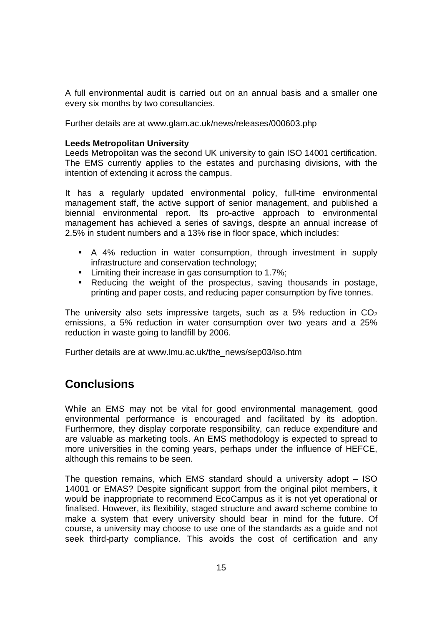A full environmental audit is carried out on an annual basis and a smaller one every six months by two consultancies.

Further details are at www.glam.ac.uk/news/releases/000603.php

#### **Leeds Metropolitan University**

Leeds Metropolitan was the second UK university to gain ISO 14001 certification. The EMS currently applies to the estates and purchasing divisions, with the intention of extending it across the campus.

It has a regularly updated environmental policy, full-time environmental management staff, the active support of senior management, and published a biennial environmental report. Its pro-active approach to environmental management has achieved a series of savings, despite an annual increase of 2.5% in student numbers and a 13% rise in floor space, which includes:

- A 4% reduction in water consumption, through investment in supply infrastructure and conservation technology;
- **EXECT** Limiting their increase in gas consumption to 1.7%;
- Reducing the weight of the prospectus, saving thousands in postage, printing and paper costs, and reducing paper consumption by five tonnes.

The university also sets impressive targets, such as a 5% reduction in  $CO<sub>2</sub>$ emissions, a 5% reduction in water consumption over two years and a 25% reduction in waste going to landfill by 2006.

Further details are at www.lmu.ac.uk/the\_news/sep03/iso.htm

#### **Conclusions**

While an EMS may not be vital for good environmental management, good environmental performance is encouraged and facilitated by its adoption. Furthermore, they display corporate responsibility, can reduce expenditure and are valuable as marketing tools. An EMS methodology is expected to spread to more universities in the coming years, perhaps under the influence of HEFCE, although this remains to be seen.

The question remains, which EMS standard should a university adopt – ISO 14001 or EMAS? Despite significant support from the original pilot members, it would be inappropriate to recommend EcoCampus as it is not yet operational or finalised. However, its flexibility, staged structure and award scheme combine to make a system that every university should bear in mind for the future. Of course, a university may choose to use one of the standards as a guide and not seek third-party compliance. This avoids the cost of certification and any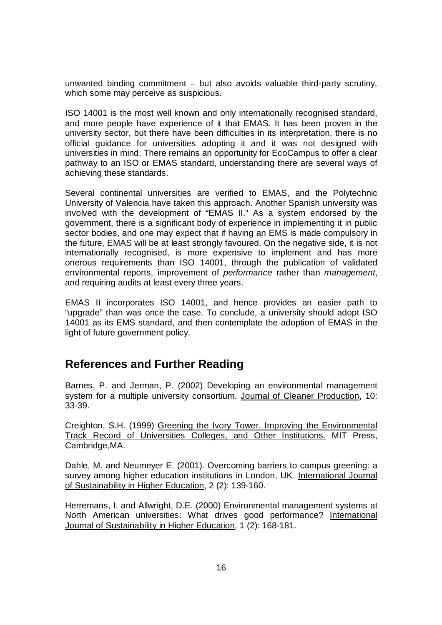unwanted binding commitment – but also avoids valuable third-party scrutiny, which some may perceive as suspicious.

ISO 14001 is the most well known and only internationally recognised standard, and more people have experience of it that EMAS. It has been proven in the university sector, but there have been difficulties in its interpretation, there is no official guidance for universities adopting it and it was not designed with universities in mind. There remains an opportunity for EcoCampus to offer a clear pathway to an ISO or EMAS standard, understanding there are several ways of achieving these standards.

Several continental universities are verified to EMAS, and the Polytechnic University of Valencia have taken this approach. Another Spanish university was involved with the development of "EMAS II." As a system endorsed by the government, there is a significant body of experience in implementing it in public sector bodies, and one may expect that if having an EMS is made compulsory in the future, EMAS will be at least strongly favoured. On the negative side, it is not internationally recognised, is more expensive to implement and has more onerous requirements than ISO 14001, through the publication of validated environmental reports, improvement of performance rather than management, and requiring audits at least every three years.

EMAS II incorporates ISO 14001, and hence provides an easier path to "upgrade" than was once the case. To conclude, a university should adopt ISO 14001 as its EMS standard, and then contemplate the adoption of EMAS in the light of future government policy.

#### **References and Further Reading**

Barnes, P. and Jerman, P. (2002) Developing an environmental management system for a multiple university consortium. Journal of Cleaner Production, 10: 33-39.

Creighton, S.H. (1999) Greening the Ivory Tower. Improving the Environmental Track Record of Universities Colleges, and Other Institutions. MIT Press, Cambridge,MA.

Dahle, M. and Neumeyer E. (2001). Overcoming barriers to campus greening: a survey among higher education institutions in London, UK. International Journal of Sustainability in Higher Education, 2 (2): 139-160.

Herremans, I. and Allwright, D.E. (2000) Environmental management systems at North American universities: What drives good performance? International Journal of Sustainability in Higher Education, 1 (2): 168-181.